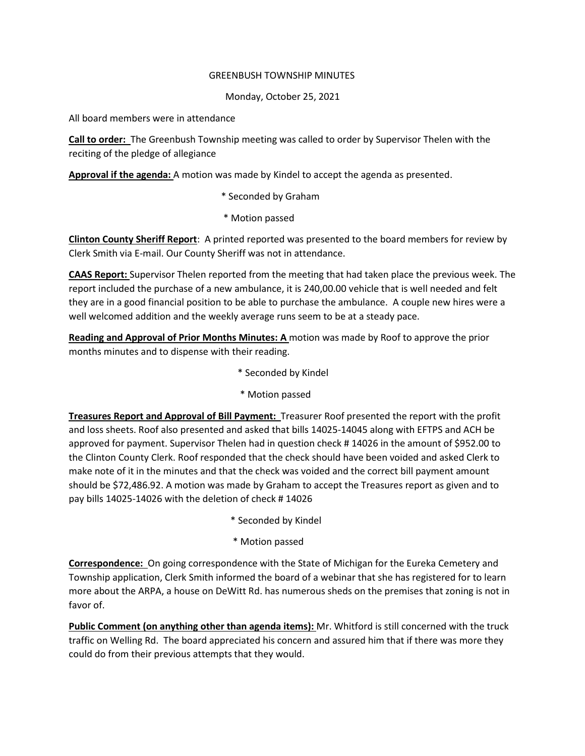## GREENBUSH TOWNSHIP MINUTES

## Monday, October 25, 2021

All board members were in attendance

**Call to order:** The Greenbush Township meeting was called to order by Supervisor Thelen with the reciting of the pledge of allegiance

**Approval if the agenda:** A motion was made by Kindel to accept the agenda as presented.

- \* Seconded by Graham
- \* Motion passed

**Clinton County Sheriff Report**: A printed reported was presented to the board members for review by Clerk Smith via E-mail. Our County Sheriff was not in attendance.

**CAAS Report:** Supervisor Thelen reported from the meeting that had taken place the previous week. The report included the purchase of a new ambulance, it is 240,00.00 vehicle that is well needed and felt they are in a good financial position to be able to purchase the ambulance. A couple new hires were a well welcomed addition and the weekly average runs seem to be at a steady pace.

**Reading and Approval of Prior Months Minutes: A** motion was made by Roof to approve the prior months minutes and to dispense with their reading.

- \* Seconded by Kindel
- \* Motion passed

**Treasures Report and Approval of Bill Payment:** Treasurer Roof presented the report with the profit and loss sheets. Roof also presented and asked that bills 14025-14045 along with EFTPS and ACH be approved for payment. Supervisor Thelen had in question check # 14026 in the amount of \$952.00 to the Clinton County Clerk. Roof responded that the check should have been voided and asked Clerk to make note of it in the minutes and that the check was voided and the correct bill payment amount should be \$72,486.92. A motion was made by Graham to accept the Treasures report as given and to pay bills 14025-14026 with the deletion of check # 14026

- \* Seconded by Kindel
- \* Motion passed

**Correspondence:** On going correspondence with the State of Michigan for the Eureka Cemetery and Township application, Clerk Smith informed the board of a webinar that she has registered for to learn more about the ARPA, a house on DeWitt Rd. has numerous sheds on the premises that zoning is not in favor of.

**Public Comment (on anything other than agenda items):** Mr. Whitford is still concerned with the truck traffic on Welling Rd. The board appreciated his concern and assured him that if there was more they could do from their previous attempts that they would.